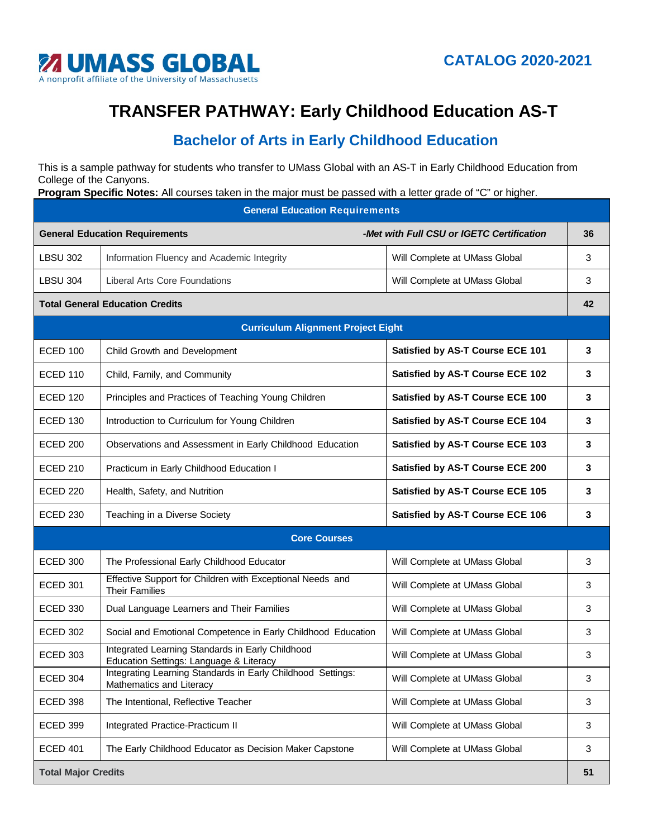

## **TRANSFER PATHWAY: Early Childhood Education AS-T**

## **Bachelor of Arts in Early Childhood Education**

This is a sample pathway for students who transfer to UMass Global with an AS-T in Early Childhood Education from College of the Canyons.

**Program Specific Notes:** All courses taken in the major must be passed with a letter grade of "C" or higher.

| <b>General Education Requirements</b>     |                                                                                             |                                           |    |  |
|-------------------------------------------|---------------------------------------------------------------------------------------------|-------------------------------------------|----|--|
| <b>General Education Requirements</b>     |                                                                                             | -Met with Full CSU or IGETC Certification | 36 |  |
| <b>LBSU 302</b>                           | Information Fluency and Academic Integrity                                                  | Will Complete at UMass Global             | 3  |  |
| <b>LBSU 304</b>                           | <b>Liberal Arts Core Foundations</b>                                                        | Will Complete at UMass Global             | 3  |  |
| <b>Total General Education Credits</b>    |                                                                                             |                                           | 42 |  |
| <b>Curriculum Alignment Project Eight</b> |                                                                                             |                                           |    |  |
| <b>ECED 100</b>                           | Child Growth and Development                                                                | Satisfied by AS-T Course ECE 101          | 3  |  |
| <b>ECED 110</b>                           | Child, Family, and Community                                                                | Satisfied by AS-T Course ECE 102          | 3  |  |
| <b>ECED 120</b>                           | Principles and Practices of Teaching Young Children                                         | Satisfied by AS-T Course ECE 100          | 3  |  |
| <b>ECED 130</b>                           | Introduction to Curriculum for Young Children                                               | Satisfied by AS-T Course ECE 104          | 3  |  |
| <b>ECED 200</b>                           | Observations and Assessment in Early Childhood Education                                    | Satisfied by AS-T Course ECE 103          | 3  |  |
| <b>ECED 210</b>                           | Practicum in Early Childhood Education I                                                    | Satisfied by AS-T Course ECE 200          | 3  |  |
| <b>ECED 220</b>                           | Health, Safety, and Nutrition                                                               | Satisfied by AS-T Course ECE 105          | 3  |  |
| <b>ECED 230</b>                           | Teaching in a Diverse Society                                                               | Satisfied by AS-T Course ECE 106          | 3  |  |
| <b>Core Courses</b>                       |                                                                                             |                                           |    |  |
| <b>ECED 300</b>                           | The Professional Early Childhood Educator                                                   | Will Complete at UMass Global             | 3  |  |
| <b>ECED 301</b>                           | Effective Support for Children with Exceptional Needs and<br><b>Their Families</b>          | Will Complete at UMass Global             | 3  |  |
| <b>ECED 330</b>                           | Dual Language Learners and Their Families                                                   | Will Complete at UMass Global             | 3  |  |
| <b>ECED 302</b>                           | Social and Emotional Competence in Early Childhood Education                                | Will Complete at UMass Global             | 3  |  |
| <b>ECED 303</b>                           | Integrated Learning Standards in Early Childhood<br>Education Settings: Language & Literacy | Will Complete at UMass Global             | 3  |  |
| <b>ECED 304</b>                           | Integrating Learning Standards in Early Childhood Settings:<br>Mathematics and Literacy     | Will Complete at UMass Global             | 3  |  |
| <b>ECED 398</b>                           | The Intentional, Reflective Teacher                                                         | Will Complete at UMass Global             | 3  |  |
| <b>ECED 399</b>                           | Integrated Practice-Practicum II                                                            | Will Complete at UMass Global             | 3  |  |
| <b>ECED 401</b>                           | The Early Childhood Educator as Decision Maker Capstone                                     | Will Complete at UMass Global             | 3  |  |
| <b>Total Major Credits</b>                |                                                                                             |                                           | 51 |  |